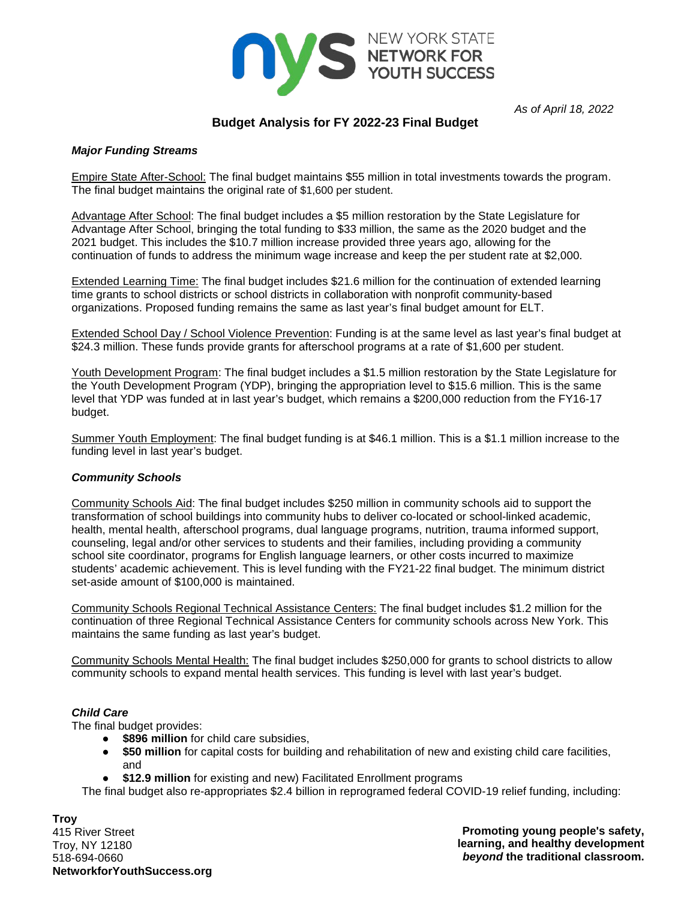

*As of April 18, 2022*

# **Budget Analysis for FY 2022-23 Final Budget**

# *Major Funding Streams*

Empire State After-School: The final budget maintains \$55 million in total investments towards the program. The final budget maintains the original rate of \$1,600 per student.

Advantage After School: The final budget includes a \$5 million restoration by the State Legislature for Advantage After School, bringing the total funding to \$33 million, the same as the 2020 budget and the 2021 budget. This includes the \$10.7 million increase provided three years ago, allowing for the continuation of funds to address the minimum wage increase and keep the per student rate at \$2,000.

Extended Learning Time: The final budget includes \$21.6 million for the continuation of extended learning time grants to school districts or school districts in collaboration with nonprofit community-based organizations. Proposed funding remains the same as last year's final budget amount for ELT.

Extended School Day / School Violence Prevention: Funding is at the same level as last year's final budget at \$24.3 million. These funds provide grants for afterschool programs at a rate of \$1,600 per student.

Youth Development Program: The final budget includes a \$1.5 million restoration by the State Legislature for the Youth Development Program (YDP), bringing the appropriation level to \$15.6 million. This is the same level that YDP was funded at in last year's budget, which remains a \$200,000 reduction from the FY16-17 budget.

Summer Youth Employment: The final budget funding is at \$46.1 million. This is a \$1.1 million increase to the funding level in last year's budget.

# *Community Schools*

Community Schools Aid: The final budget includes \$250 million in community schools aid to support the transformation of school buildings into community hubs to deliver co-located or school-linked academic, health, mental health, afterschool programs, dual language programs, nutrition, trauma informed support, counseling, legal and/or other services to students and their families, including providing a community school site coordinator, programs for English language learners, or other costs incurred to maximize students' academic achievement. This is level funding with the FY21-22 final budget. The minimum district set-aside amount of \$100,000 is maintained.

Community Schools Regional Technical Assistance Centers: The final budget includes \$1.2 million for the continuation of three Regional Technical Assistance Centers for community schools across New York. This maintains the same funding as last year's budget.

Community Schools Mental Health: The final budget includes \$250,000 for grants to school districts to allow community schools to expand mental health services. This funding is level with last year's budget.

# *Child Care*

The final budget provides:

- **\$896 million** for child care subsidies,
- **\$50 million** for capital costs for building and rehabilitation of new and existing child care facilities, and
- **\$12.9 million** for existing and new) Facilitated Enrollment programs

The final budget also re-appropriates \$2.4 billion in reprogramed federal COVID-19 relief funding, including:

**Troy** 415 River Street Troy, NY 12180 518-694-0660 **NetworkforYouthSuccess.org**

**Promoting young people's safety, learning, and healthy development**  *beyond* **the traditional classroom.**